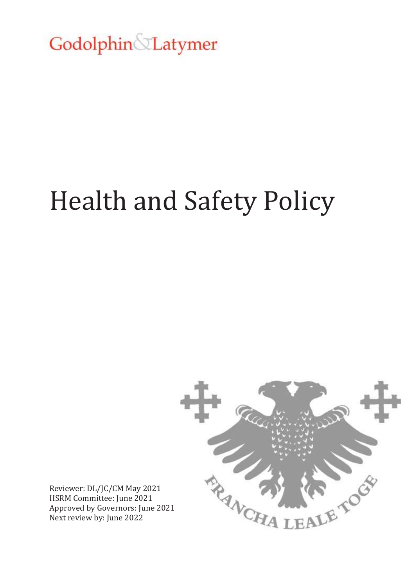Godolphin&Latymer

# Health and Safety Policy



Reviewer: DL/JC/CM May 2021 HSRM Committee: June 2021 Approved by Governors: June 2021 Next review by: June 2022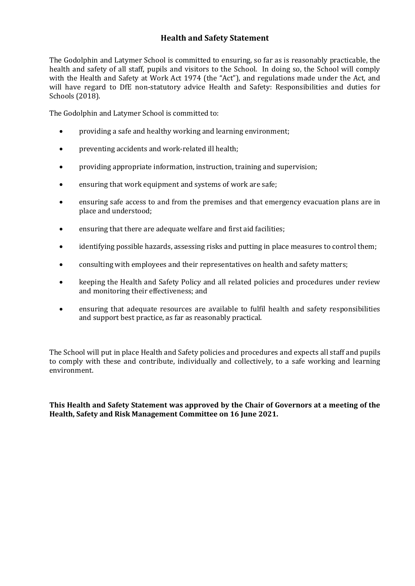# **Health and Safety Statement**

The Godolphin and Latymer School is committed to ensuring, so far as is reasonably practicable, the health and safety of all staff, pupils and visitors to the School. In doing so, the School will comply with the Health and Safety at Work Act 1974 (the "Act"), and regulations made under the Act, and will have regard to DfE non-statutory advice Health and Safety: Responsibilities and duties for Schools (2018).

The Godolphin and Latymer School is committed to:

- providing a safe and healthy working and learning environment;
- preventing accidents and work-related ill health;
- providing appropriate information, instruction, training and supervision;
- ensuring that work equipment and systems of work are safe;
- ensuring safe access to and from the premises and that emergency evacuation plans are in place and understood;
- ensuring that there are adequate welfare and first aid facilities;
- identifying possible hazards, assessing risks and putting in place measures to control them;
- consulting with employees and their representatives on health and safety matters;
- keeping the Health and Safety Policy and all related policies and procedures under review and monitoring their effectiveness; and
- ensuring that adequate resources are available to fulfil health and safety responsibilities and support best practice, as far as reasonably practical.

The School will put in place Health and Safety policies and procedures and expects all staff and pupils to comply with these and contribute, individually and collectively, to a safe working and learning environment.

**This Health and Safety Statement was approved by the Chair of Governors at a meeting of the Health, Safety and Risk Management Committee on 16 June 2021.**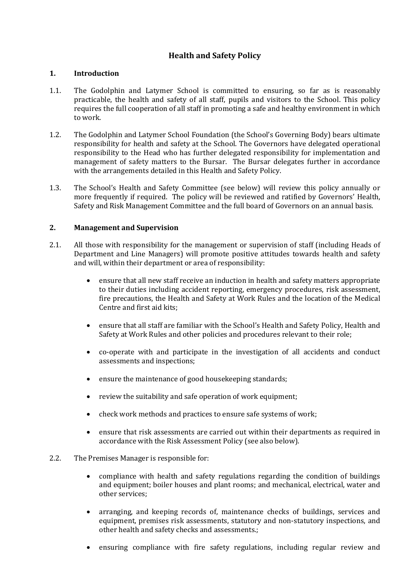# **Health and Safety Policy**

#### **1. Introduction**

- 1.1. The Godolphin and Latymer School is committed to ensuring, so far as is reasonably practicable, the health and safety of all staff, pupils and visitors to the School. This policy requires the full cooperation of all staff in promoting a safe and healthy environment in which to work.
- 1.2. The Godolphin and Latymer School Foundation (the School's Governing Body) bears ultimate responsibility for health and safety at the School. The Governors have delegated operational responsibility to the Head who has further delegated responsibility for implementation and management of safety matters to the Bursar. The Bursar delegates further in accordance with the arrangements detailed in this Health and Safety Policy.
- 1.3. The School's Health and Safety Committee (see below) will review this policy annually or more frequently if required. The policy will be reviewed and ratified by Governors' Health, Safety and Risk Management Committee and the full board of Governors on an annual basis.

# **2. Management and Supervision**

- 2.1. All those with responsibility for the management or supervision of staff (including Heads of Department and Line Managers) will promote positive attitudes towards health and safety and will, within their department or area of responsibility:
	- ensure that all new staff receive an induction in health and safety matters appropriate to their duties including accident reporting, emergency procedures, risk assessment, fire precautions, the Health and Safety at Work Rules and the location of the Medical Centre and first aid kits;
	- ensure that all staff are familiar with the School's Health and Safety Policy, Health and Safety at Work Rules and other policies and procedures relevant to their role;
	- co-operate with and participate in the investigation of all accidents and conduct assessments and inspections;
	- ensure the maintenance of good housekeeping standards;
	- review the suitability and safe operation of work equipment;
	- check work methods and practices to ensure safe systems of work;
	- ensure that risk assessments are carried out within their departments as required in accordance with the Risk Assessment Policy (see also below).
- 2.2. The Premises Manager is responsible for:
	- compliance with health and safety regulations regarding the condition of buildings and equipment; boiler houses and plant rooms; and mechanical, electrical, water and other services;
	- arranging, and keeping records of, maintenance checks of buildings, services and equipment, premises risk assessments, statutory and non-statutory inspections, and other health and safety checks and assessments.;
	- ensuring compliance with fire safety regulations, including regular review and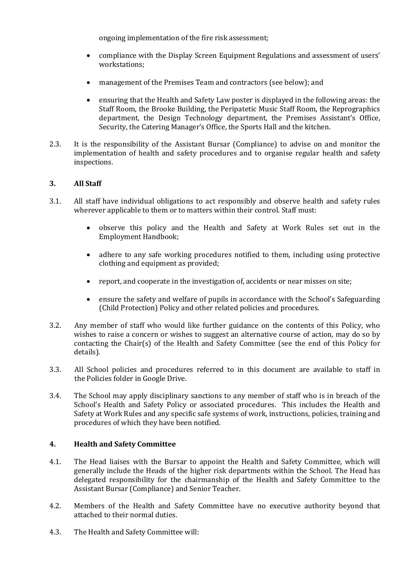ongoing implementation of the fire risk assessment;

- compliance with the Display Screen Equipment Regulations and assessment of users' workstations;
- management of the Premises Team and contractors (see below); and
- ensuring that the Health and Safety Law poster is displayed in the following areas: the Staff Room, the Brooke Building, the Peripatetic Music Staff Room, the Reprographics department, the Design Technology department, the Premises Assistant's Office, Security, the Catering Manager's Office, the Sports Hall and the kitchen.
- 2.3. It is the responsibility of the Assistant Bursar (Compliance) to advise on and monitor the implementation of health and safety procedures and to organise regular health and safety inspections.

# **3. All Staff**

- 3.1. All staff have individual obligations to act responsibly and observe health and safety rules wherever applicable to them or to matters within their control. Staff must:
	- observe this policy and the Health and Safety at Work Rules set out in the Employment Handbook;
	- adhere to any safe working procedures notified to them, including using protective clothing and equipment as provided;
	- report, and cooperate in the investigation of, accidents or near misses on site;
	- ensure the safety and welfare of pupils in accordance with the School's Safeguarding (Child Protection) Policy and other related policies and procedures.
- 3.2. Any member of staff who would like further guidance on the contents of this Policy, who wishes to raise a concern or wishes to suggest an alternative course of action, may do so by contacting the Chair(s) of the Health and Safety Committee (see the end of this Policy for details).
- 3.3. All School policies and procedures referred to in this document are available to staff in the Policies folder in Google Drive.
- 3.4. The School may apply disciplinary sanctions to any member of staff who is in breach of the School's Health and Safety Policy or associated procedures. This includes the Health and Safety at Work Rules and any specific safe systems of work, instructions, policies, training and procedures of which they have been notified.

# **4. Health and Safety Committee**

- 4.1. The Head liaises with the Bursar to appoint the Health and Safety Committee, which will generally include the Heads of the higher risk departments within the School. The Head has delegated responsibility for the chairmanship of the Health and Safety Committee to the Assistant Bursar (Compliance) and Senior Teacher.
- 4.2. Members of the Health and Safety Committee have no executive authority beyond that attached to their normal duties.
- 4.3. The Health and Safety Committee will: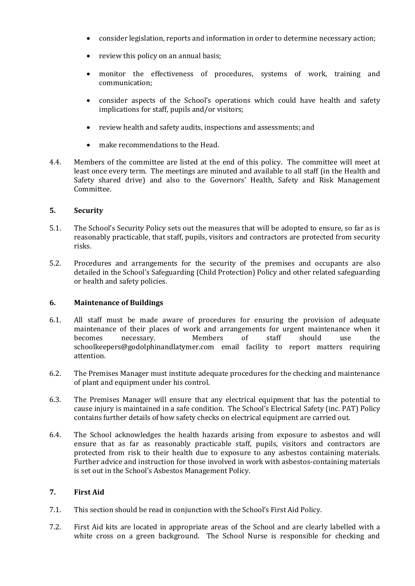- consider legislation, reports and information in order to determine necessary action;
- review this policy on an annual basis;
- monitor the effectiveness of procedures, systems of work, training and communication;
- consider aspects of the School's operations which could have health and safety implications for staff, pupils and/or visitors;
- review health and safety audits, inspections and assessments; and
- make recommendations to the Head.
- 4.4. Members of the committee are listed at the end of this policy. The committee will meet at least once every term. The meetings are minuted and available to all staff (in the Health and Safety shared drive) and also to the Governors' Health, Safety and Risk Management Committee.

# **5. Security**

- 5.1. The School's Security Policy sets out the measures that will be adopted to ensure, so far as is reasonably practicable, that staff, pupils, visitors and contractors are protected from security risks.
- 5.2. Procedures and arrangements for the security of the premises and occupants are also detailed in the School's Safeguarding (Child Protection) Policy and other related safeguarding or health and safety policies.

# **6. Maintenance of Buildings**

- 6.1. All staff must be made aware of procedures for ensuring the provision of adequate maintenance of their places of work and arrangements for urgent maintenance when it becomes necessary. Members of staff should use the schoolkeepers@godolphinandlatymer.com email facility to report matters requiring attention.
- 6.2. The Premises Manager must institute adequate procedures for the checking and maintenance of plant and equipment under his control.
- 6.3. The Premises Manager will ensure that any electrical equipment that has the potential to cause injury is maintained in a safe condition. The School's Electrical Safety (inc. PAT) Policy contains further details of how safety checks on electrical equipment are carried out.
- 6.4. The School acknowledges the health hazards arising from exposure to asbestos and will ensure that as far as reasonably practicable staff, pupils, visitors and contractors are protected from risk to their health due to exposure to any asbestos containing materials. Further advice and instruction for those involved in work with asbestos-containing materials is set out in the School's Asbestos Management Policy.

# **7. First Aid**

- 7.1. This section should be read in conjunction with the School's First Aid Policy.
- 7.2. First Aid kits are located in appropriate areas of the School and are clearly labelled with a white cross on a green background. The School Nurse is responsible for checking and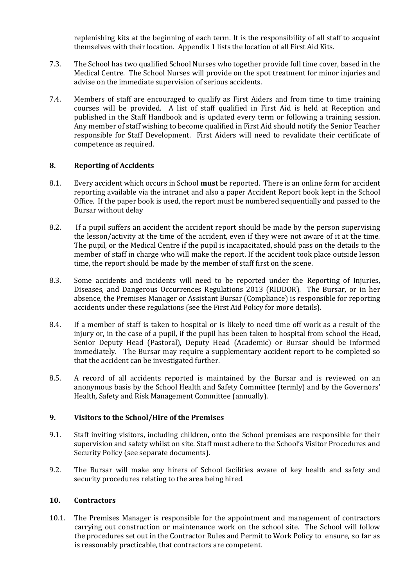replenishing kits at the beginning of each term. It is the responsibility of all staff to acquaint themselves with their location. Appendix 1 lists the location of all First Aid Kits.

- 7.3. The School has two qualified School Nurses who together provide full time cover, based in the Medical Centre. The School Nurses will provide on the spot treatment for minor injuries and advise on the immediate supervision of serious accidents.
- 7.4. Members of staff are encouraged to qualify as First Aiders and from time to time training courses will be provided. A list of staff qualified in First Aid is held at Reception and published in the Staff Handbook and is updated every term or following a training session. Any member of staff wishing to become qualified in First Aid should notify the Senior Teacher responsible for Staff Development. First Aiders will need to revalidate their certificate of competence as required.

#### **8. Reporting of Accidents**

- 8.1. Every accident which occurs in School **must** be reported. There is an online form for accident reporting available via the intranet and also a paper Accident Report book kept in the School Office. If the paper book is used, the report must be numbered sequentially and passed to the Bursar without delay
- 8.2. If a pupil suffers an accident the accident report should be made by the person supervising the lesson/activity at the time of the accident, even if they were not aware of it at the time. The pupil, or the Medical Centre if the pupil is incapacitated, should pass on the details to the member of staff in charge who will make the report. If the accident took place outside lesson time, the report should be made by the member of staff first on the scene.
- 8.3. Some accidents and incidents will need to be reported under the Reporting of Injuries, Diseases, and Dangerous Occurrences Regulations 2013 (RIDDOR). The Bursar, or in her absence, the Premises Manager or Assistant Bursar (Compliance) is responsible for reporting accidents under these regulations (see the First Aid Policy for more details).
- 8.4. If a member of staff is taken to hospital or is likely to need time off work as a result of the injury or, in the case of a pupil, if the pupil has been taken to hospital from school the Head, Senior Deputy Head (Pastoral), Deputy Head (Academic) or Bursar should be informed immediately. The Bursar may require a supplementary accident report to be completed so that the accident can be investigated further.
- 8.5. A record of all accidents reported is maintained by the Bursar and is reviewed on an anonymous basis by the School Health and Safety Committee (termly) and by the Governors' Health, Safety and Risk Management Committee (annually).

# **9. Visitors to the School/Hire of the Premises**

- 9.1. Staff inviting visitors, including children, onto the School premises are responsible for their supervision and safety whilst on site. Staff must adhere to the School's Visitor Procedures and Security Policy (see separate documents).
- 9.2. The Bursar will make any hirers of School facilities aware of key health and safety and security procedures relating to the area being hired.

#### **10. Contractors**

10.1. The Premises Manager is responsible for the appointment and management of contractors carrying out construction or maintenance work on the school site. The School will follow the procedures set out in the Contractor Rules and Permit to Work Policy to ensure, so far as is reasonably practicable, that contractors are competent.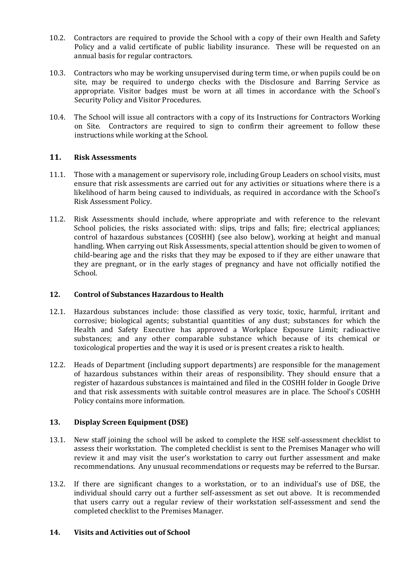- 10.2. Contractors are required to provide the School with a copy of their own Health and Safety Policy and a valid certificate of public liability insurance. These will be requested on an annual basis for regular contractors.
- 10.3. Contractors who may be working unsupervised during term time, or when pupils could be on site, may be required to undergo checks with the Disclosure and Barring Service as appropriate. Visitor badges must be worn at all times in accordance with the School's Security Policy and Visitor Procedures.
- 10.4. The School will issue all contractors with a copy of its Instructions for Contractors Working on Site. Contractors are required to sign to confirm their agreement to follow these instructions while working at the School.

# **11. Risk Assessments**

- 11.1. Those with a management or supervisory role, including Group Leaders on school visits, must ensure that risk assessments are carried out for any activities or situations where there is a likelihood of harm being caused to individuals, as required in accordance with the School's Risk Assessment Policy.
- 11.2. Risk Assessments should include, where appropriate and with reference to the relevant School policies, the risks associated with: slips, trips and falls; fire; electrical appliances; control of hazardous substances (COSHH) (see also below), working at height and manual handling. When carrying out Risk Assessments, special attention should be given to women of child-bearing age and the risks that they may be exposed to if they are either unaware that they are pregnant, or in the early stages of pregnancy and have not officially notified the School.

# **12. Control of Substances Hazardous to Health**

- 12.1. Hazardous substances include: those classified as very toxic, toxic, harmful, irritant and corrosive; biological agents; substantial quantities of any dust; substances for which the Health and Safety Executive has approved a Workplace Exposure Limit; radioactive substances; and any other comparable substance which because of its chemical or toxicological properties and the way it is used or is present creates a risk to health.
- 12.2. Heads of Department (including support departments) are responsible for the management of hazardous substances within their areas of responsibility. They should ensure that a register of hazardous substances is maintained and filed in the COSHH folder in Google Drive and that risk assessments with suitable control measures are in place. The School's COSHH Policy contains more information.

# **13. Display Screen Equipment (DSE)**

- 13.1. New staff joining the school will be asked to complete the HSE self-assessment checklist to assess their workstation. The completed checklist is sent to the Premises Manager who will review it and may visit the user's workstation to carry out further assessment and make recommendations. Any unusual recommendations or requests may be referred to the Bursar.
- 13.2. If there are significant changes to a workstation, or to an individual's use of DSE, the individual should carry out a further self-assessment as set out above. It is recommended that users carry out a regular review of their workstation self-assessment and send the completed checklist to the Premises Manager.

# **14. Visits and Activities out of School**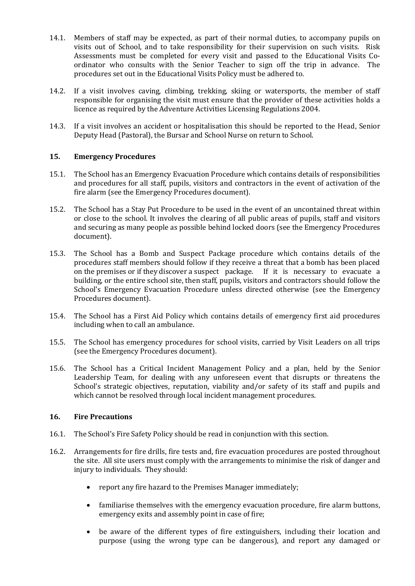- 14.1. Members of staff may be expected, as part of their normal duties, to accompany pupils on visits out of School, and to take responsibility for their supervision on such visits. Risk Assessments must be completed for every visit and passed to the Educational Visits Coordinator who consults with the Senior Teacher to sign off the trip in advance. The procedures set out in the Educational Visits Policy must be adhered to.
- 14.2. If a visit involves caving, climbing, trekking, skiing or watersports, the member of staff responsible for organising the visit must ensure that the provider of these activities holds a licence as required by the Adventure Activities Licensing Regulations 2004.
- 14.3. If a visit involves an accident or hospitalisation this should be reported to the Head, Senior Deputy Head (Pastoral), the Bursar and School Nurse on return to School.

# **15. Emergency Procedures**

- 15.1. The School has an Emergency Evacuation Procedure which contains details of responsibilities and procedures for all staff, pupils, visitors and contractors in the event of activation of the fire alarm (see the Emergency Procedures document).
- 15.2. The School has a Stay Put Procedure to be used in the event of an uncontained threat within or close to the school. It involves the clearing of all public areas of pupils, staff and visitors and securing as many people as possible behind locked doors (see the Emergency Procedures document).
- 15.3. The School has a Bomb and Suspect Package procedure which contains details of the procedures staff members should follow if they receive a threat that a bomb has been placed on the premises or if they discover a suspect package. If it is necessary to evacuate a building, or the entire school site, then staff, pupils, visitors and contractors should follow the School's Emergency Evacuation Procedure unless directed otherwise (see the Emergency Procedures document).
- 15.4. The School has a First Aid Policy which contains details of emergency first aid procedures including when to call an ambulance.
- 15.5. The School has emergency procedures for school visits, carried by Visit Leaders on all trips (see the Emergency Procedures document).
- 15.6. The School has a Critical Incident Management Policy and a plan, held by the Senior Leadership Team, for dealing with any unforeseen event that disrupts or threatens the School's strategic objectives, reputation, viability and/or safety of its staff and pupils and which cannot be resolved through local incident management procedures.

#### **16. Fire Precautions**

- 16.1. The School's Fire Safety Policy should be read in conjunction with this section.
- 16.2. Arrangements for fire drills, fire tests and, fire evacuation procedures are posted throughout the site. All site users must comply with the arrangements to minimise the risk of danger and injury to individuals. They should:
	- report any fire hazard to the Premises Manager immediately;
	- familiarise themselves with the emergency evacuation procedure, fire alarm buttons, emergency exits and assembly point in case of fire;
	- be aware of the different types of fire extinguishers, including their location and purpose (using the wrong type can be dangerous), and report any damaged or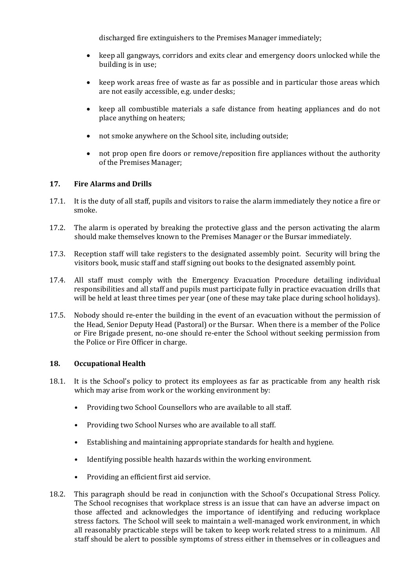discharged fire extinguishers to the Premises Manager immediately;

- keep all gangways, corridors and exits clear and emergency doors unlocked while the building is in use;
- keep work areas free of waste as far as possible and in particular those areas which are not easily accessible, e.g. under desks;
- keep all combustible materials a safe distance from heating appliances and do not place anything on heaters;
- not smoke anywhere on the School site, including outside;
- not prop open fire doors or remove/reposition fire appliances without the authority of the Premises Manager;

# **17. Fire Alarms and Drills**

- 17.1. It is the duty of all staff, pupils and visitors to raise the alarm immediately they notice a fire or smoke.
- 17.2. The alarm is operated by breaking the protective glass and the person activating the alarm should make themselves known to the Premises Manager or the Bursar immediately.
- 17.3. Reception staff will take registers to the designated assembly point. Security will bring the visitors book, music staff and staff signing out books to the designated assembly point.
- 17.4. All staff must comply with the Emergency Evacuation Procedure detailing individual responsibilities and all staff and pupils must participate fully in practice evacuation drills that will be held at least three times per year (one of these may take place during school holidays).
- 17.5. Nobody should re-enter the building in the event of an evacuation without the permission of the Head, Senior Deputy Head (Pastoral) or the Bursar. When there is a member of the Police or Fire Brigade present, no-one should re-enter the School without seeking permission from the Police or Fire Officer in charge.

# **18. Occupational Health**

- 18.1. It is the School's policy to protect its employees as far as practicable from any health risk which may arise from work or the working environment by:
	- Providing two School Counsellors who are available to all staff.
	- Providing two School Nurses who are available to all staff.
	- Establishing and maintaining appropriate standards for health and hygiene.
	- Identifying possible health hazards within the working environment.
	- Providing an efficient first aid service.
- 18.2. This paragraph should be read in conjunction with the School's Occupational Stress Policy. The School recognises that workplace stress is an issue that can have an adverse impact on those affected and acknowledges the importance of identifying and reducing workplace stress factors. The School will seek to maintain a well-managed work environment, in which all reasonably practicable steps will be taken to keep work related stress to a minimum. All staff should be alert to possible symptoms of stress either in themselves or in colleagues and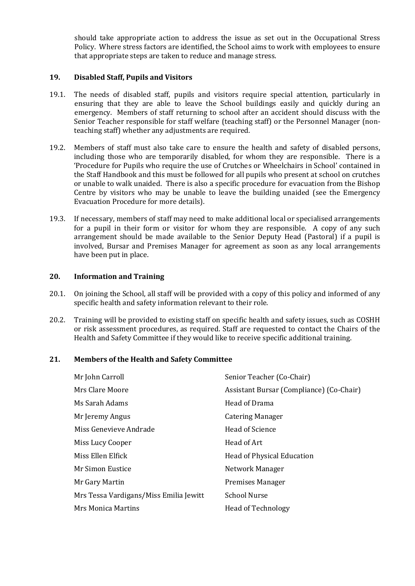should take appropriate action to address the issue as set out in the Occupational Stress Policy. Where stress factors are identified, the School aims to work with employees to ensure that appropriate steps are taken to reduce and manage stress.

#### **19. Disabled Staff, Pupils and Visitors**

- 19.1. The needs of disabled staff, pupils and visitors require special attention, particularly in ensuring that they are able to leave the School buildings easily and quickly during an emergency. Members of staff returning to school after an accident should discuss with the Senior Teacher responsible for staff welfare (teaching staff) or the Personnel Manager (nonteaching staff) whether any adjustments are required.
- 19.2. Members of staff must also take care to ensure the health and safety of disabled persons, including those who are temporarily disabled, for whom they are responsible. There is a 'Procedure for Pupils who require the use of Crutches or Wheelchairs in School' contained in the Staff Handbook and this must be followed for all pupils who present at school on crutches or unable to walk unaided. There is also a specific procedure for evacuation from the Bishop Centre by visitors who may be unable to leave the building unaided (see the Emergency Evacuation Procedure for more details).
- 19.3. If necessary, members of staff may need to make additional local or specialised arrangements for a pupil in their form or visitor for whom they are responsible. A copy of any such arrangement should be made available to the Senior Deputy Head (Pastoral) if a pupil is involved, Bursar and Premises Manager for agreement as soon as any local arrangements have been put in place.

#### **20. Information and Training**

- 20.1. On joining the School, all staff will be provided with a copy of this policy and informed of any specific health and safety information relevant to their role.
- 20.2. Training will be provided to existing staff on specific health and safety issues, such as COSHH or risk assessment procedures, as required. Staff are requested to contact the Chairs of the Health and Safety Committee if they would like to receive specific additional training.

# **21. Members of the Health and Safety Committee**

| Mr John Carroll                        | Senior Teacher (Co-Chair)                |
|----------------------------------------|------------------------------------------|
| Mrs Clare Moore                        | Assistant Bursar (Compliance) (Co-Chair) |
| Ms Sarah Adams                         | Head of Drama                            |
| Mr Jeremy Angus                        | Catering Manager                         |
| Miss Genevieve Andrade                 | Head of Science                          |
| Miss Lucy Cooper                       | Head of Art                              |
| Miss Ellen Elfick                      | Head of Physical Education               |
| Mr Simon Eustice                       | Network Manager                          |
| Mr Gary Martin                         | <b>Premises Manager</b>                  |
| Mrs Tessa Vardigans/Miss Emilia Jewitt | School Nurse                             |
| Mrs Monica Martins                     | <b>Head of Technology</b>                |